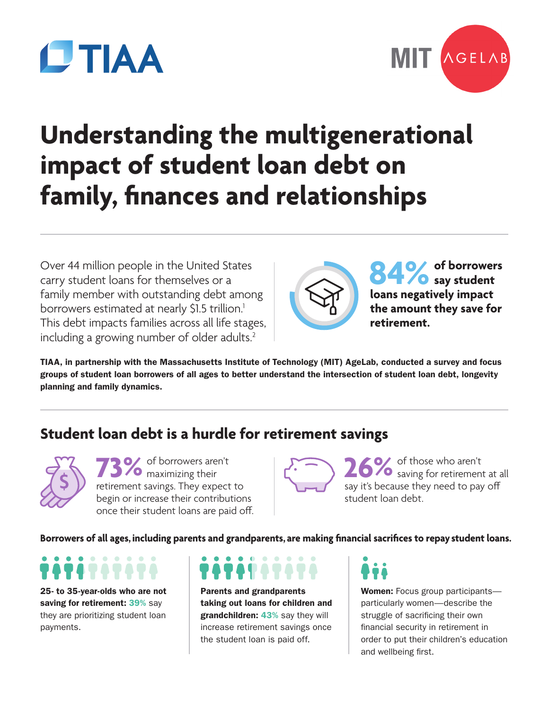



# **Understanding the multigenerational impact of student loan debt on family, finances and relationships**

Over 44 million people in the United States carry student loans for themselves or a family member with outstanding debt among borrowers estimated at nearly \$1.5 trillion.<sup>1</sup> This debt impacts families across all life stages, including a growing number of older adults.<sup>2</sup>



84% of borrowers<br> **leave negatively impact loans negatively impact the amount they save for retirement.**

TIAA, in partnership with the Massachusetts Institute of Technology (MIT) AgeLab, conducted a survey and focus groups of student loan borrowers of all ages to better understand the intersection of student loan debt, longevity planning and family dynamics.

# **Student loan debt is a hurdle for retirement savings**

**73%** of borrowers aren't retirement savings. They expect to begin or increase their contributions once their student loans are paid off.

26% of those who aren't<br>
saving for retirement at all<br>
say it's because they need to nay off say it's because they need to pay off student loan debt.

**Borrowers of all ages, including parents and grandparents, are making financial sacrifices to repay student loans.**

25- to 35-year-olds who are not saving for retirement: 39% say they are prioritizing student loan payments.

Parents and grandparents taking out loans for children and grandchildren: 43% say they will increase retirement savings once the student loan is paid off.

Women: Focus group participantsparticularly women—describe the struggle of sacrificing their own financial security in retirement in order to put their children's education and wellbeing first.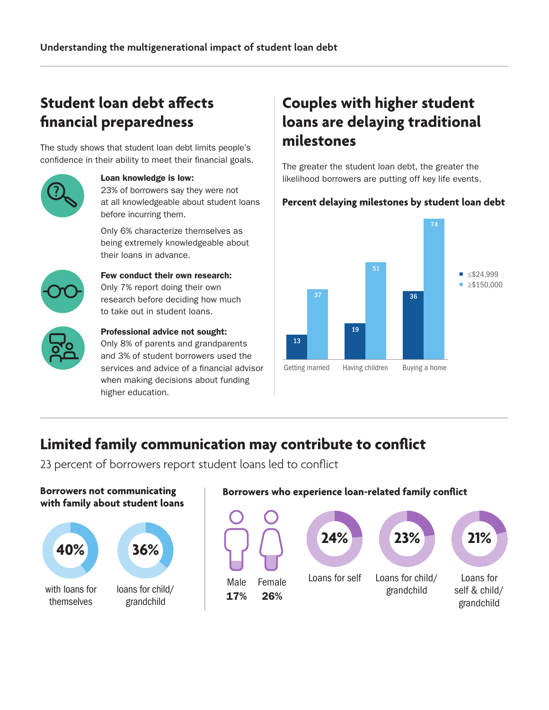# **Student loan debt affects financial preparedness**

The study shows that student loan debt limits people's confidence in their ability to meet their financial goals.



#### Loan knowledge is low: 23% of borrowers say they were not

at all knowledgeable about student loans before incurring them.

Only 6% characterize themselves as being extremely knowledgeable about their loans in advance.



### Few conduct their own research: Only 7% report doing their own research before deciding how much to take out in student loans.



#### Professional advice not sought: Only 8% of parents and grandparents and 3% of student borrowers used the services and advice of a financial advisor when making decisions about funding higher education.

# **Couples with higher student loans are delaying traditional milestones**

The greater the student loan debt, the greater the likelihood borrowers are putting off key life events.

# **Percent delaying milestones by student loan debt**



# **Limited family communication may contribute to conflict**

23 percent of borrowers report student loans led to conflict

**Borrowers not communicating with family about student loans**



## **Borrowers who experience loan-related family conflict**

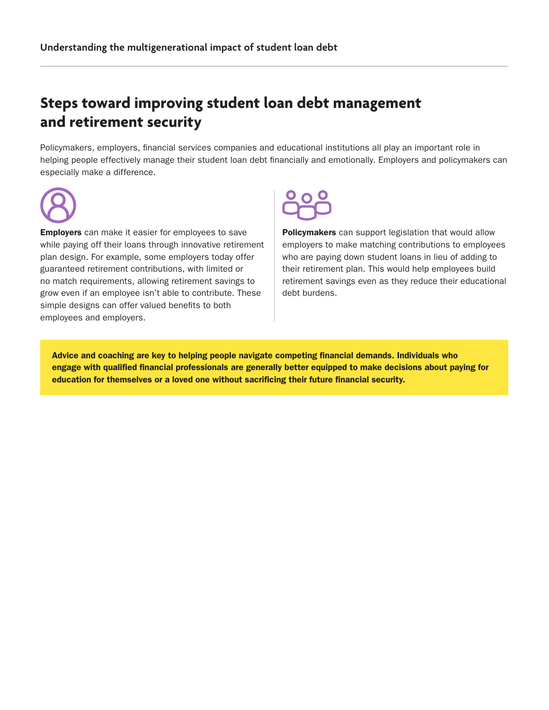# **Steps toward improving student loan debt management and retirement security**

Policymakers, employers, financial services companies and educational institutions all play an important role in helping people effectively manage their student loan debt financially and emotionally. Employers and policymakers can especially make a difference.



**Employers** can make it easier for employees to save while paying off their loans through innovative retirement plan design. For example, some employers today offer guaranteed retirement contributions, with limited or no match requirements, allowing retirement savings to grow even if an employee isn't able to contribute. These simple designs can offer valued benefits to both employees and employers.

Policymakers can support legislation that would allow employers to make matching contributions to employees who are paying down student loans in lieu of adding to their retirement plan. This would help employees build retirement savings even as they reduce their educational debt burdens.

Advice and coaching are key to helping people navigate competing financial demands. Individuals who engage with qualified financial professionals are generally better equipped to make decisions about paying for education for themselves or a loved one without sacrificing their future financial security.